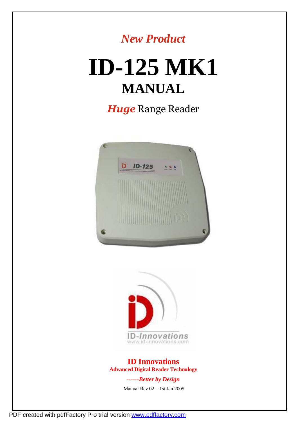# *New Product*

# **ID-125 MK1 MANUAL**

*Huge* Range Reader





**ID Innovations Advanced Digital Reader Technology**

*------Better by Design*

Manual Rev 02 – 1st Jan 2005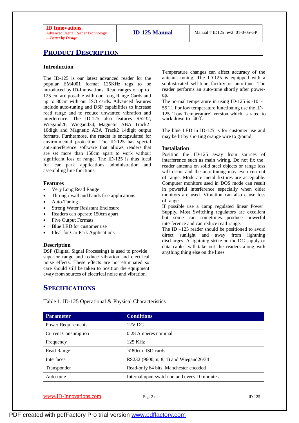#### **PRODUCT DESCRIPTION**

#### **Introduction**

The ID-125 is our latest advanced reader for the popular EM4001 format 125KHz tags to be introduced by ID-Innovations. Read ranges of up to 125 cm are possible with our Long Range Cards and up to 80cm with our ISO cards. Advanced features include auto-tuning and DSP capabilities to increase read range and to reduce unwanted vibration and interference. The ID-125 also features RS232, Wiegand26, Wiegand34, Magnetic ABA Track2 10digit and Magnetic ABA Track2 14digit output formats. Furthermore, the reader is encapsulated for environmental protection. The ID-125 has special anti-interference software that allows readers that are set more than 150cm apart to work without significant loss of range. The ID-125 is thus ideal for car park applications administration and assembling line functions.

#### **Features**

- Very Long Read Range
- Through-wall and hands free applications
- Auto-Tuning
- Strong Water Resistant Enclosure
- Readers can operate 150cm apart
- Five Output Formats
- Blue LED for customer use
- Ideal for Car Park Applications

#### **Description**

DSP (Digital Signal Processing) is used to provide superior range and reduce vibration and electrical noise effects. These effects are not eliminated so care should still be taken to position the equipment away from sources of electrical noise and vibration.

Temperature changes can affect accuracy of the antenna tuning. The ID-125 is equipped with a sophisticated self-tune facility or auto-tune. The reader performs an auto-tune shortly after powerup.

The normal temperature in using ID-125 is -10 $\sim$ 

55℃. For low temperature functioning use the ID-125 'Low Temperature' version which is rated to work down to  $-40^{\circ}$ C.

The blue LED in ID-125 is for customer use and may be lit by shorting orange wire to ground.

#### **Installation**

Position the ID-125 away from sources of interference such as main wiring. Do not fix the reader antenna on solid steel objects or range loss will occur and the auto-tuning may even run out of range. Moderate metal fixtures are acceptable. Computer monitors used in DOS mode can result in powerful interference especially when older monitors are used. Vibration can also cause loss of range.

If possible use a 1amp regulated linear Power Supply. Most Switching regulators are excellent but some can sometimes produce powerful interference and can reduce read-range.

The ID –125 reader should be positioned to avoid direct sunlight and away from lightning discharges. A lightning strike on the DC supply or data cables will take out the readers along with anything thing else on the lines

#### **SPECIFICATIONS**

Table 1. ID-125 Operational & Physical Characteristics

| <b>Parameter</b>           | <b>Conditions</b>                            |
|----------------------------|----------------------------------------------|
| <b>Power Requirements</b>  | $12V$ DC                                     |
| <b>Current Consumption</b> | 0.28 Amperes nominal                         |
| Frequency                  | 125 KHz                                      |
| Read Range                 | $\geq 80$ cm ISO cards                       |
| <b>Interfaces</b>          | RS232 (9600, n, 8, 1) and Wiegand26/34       |
| Transponder                | Read-only 64 bits, Manchester encoded        |
| Auto-tune                  | Internal upon switch-on and every 10 minutes |

[www.ID-Innovations.com](http://www.id-innovations.com/) Page 2 of 4 ID-125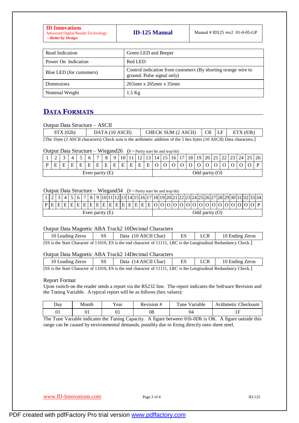| <b>ID Innovations</b><br><b>Advanced Digital Reader Technology</b><br>---Better by Design | <b>ID-125 Manual</b> | Manual # ID125 rev2 $01-0-05-GP$ |
|-------------------------------------------------------------------------------------------|----------------------|----------------------------------|
|-------------------------------------------------------------------------------------------|----------------------|----------------------------------|

| Read Indication          | Green LED and Beeper                                                                        |
|--------------------------|---------------------------------------------------------------------------------------------|
| Power On Indication      | Red LED                                                                                     |
| Blue LED (for customers) | Control indication from customers (By shorting orange wire to<br>ground. Pulse signal only) |
| Dimensions               | $265$ mm x $265$ mm x $35$ mm                                                               |
| Nominal Weight           | $1.5$ Kg                                                                                    |

# **DATA FORMATS**

#### Output Data Structure – ASCII

| STX(02h) | DATA (10 ASCII) | CHECK SUM $(2 \text{ ASCII})$ $CR$ $LF$ $ETX (03h)$                                                                  |  |  |
|----------|-----------------|----------------------------------------------------------------------------------------------------------------------|--|--|
|          |                 | [The 1byte (2 ASCII characters) Check sum is the arithmetic addition of the 5 hex bytes (10 ASCII) Data characters.] |  |  |

#### Output Data Structure – Wiegand26 ( $P =$  Parity start bit and stop bit)

|                   | ⌒<br>∽ |   |   |   |              | $\overline{ }$ |   | Q | 10 |   |        |                     | 14 |                  | 18 | 19 | 20 | $\angle 1$ | ∠∠ | $\Delta$ | 24 | 26 |
|-------------------|--------|---|---|---|--------------|----------------|---|---|----|---|--------|---------------------|----|------------------|----|----|----|------------|----|----------|----|----|
|                   | ᠇<br>н | E | Е | F | $\mathbf{r}$ |                | E | E | Ε  | E | F<br>∸ | $\blacksquare$<br>∸ |    |                  |    |    |    |            |    |          |    |    |
| Even parity $(E)$ |        |   |   |   |              |                |   |   |    |   |        |                     |    | Odd parity $(O)$ |    |    |    |            |    |          |    |    |

#### Output Data Structure – Wiegand  $34$  (P = Parity start bit and stop bit)

|                   |  |  |  |  |  |  |  |  |  | 1  2   3  4   5   6   7   8   9  10 11 12 13 14 15 16 17 18 19 20 21 22 23 24 25 26 27 28 29 30 31 32 33 34 |  |  |                  |  |  |  |  |  |  |  |  |  |
|-------------------|--|--|--|--|--|--|--|--|--|-------------------------------------------------------------------------------------------------------------|--|--|------------------|--|--|--|--|--|--|--|--|--|
|                   |  |  |  |  |  |  |  |  |  | $[P E E E E E E E E E E E E E E E E E O O O O O O O O O O O O O O O P $                                     |  |  |                  |  |  |  |  |  |  |  |  |  |
| Even parity $(E)$ |  |  |  |  |  |  |  |  |  |                                                                                                             |  |  | Odd parity $(0)$ |  |  |  |  |  |  |  |  |  |

#### Output Data Magnetic ABA Track2 10Decimal Characters

| 10 Leading Zeros | <b>SS</b> | Data (10 ASCII Char)                                                                                              | $^{\prime}$ LCR. | 10 Ending Zeros |
|------------------|-----------|-------------------------------------------------------------------------------------------------------------------|------------------|-----------------|
|                  |           | [SS is the Start Character of 11010, ES is the end character of 11111, LRC is the Longitudinal Redundancy Check.] |                  |                 |

#### Output Data Magnetic ABA Track2 14Decimal Characters

| 10 Leading Zeros                                                                                                                                      | SS. | Data (14 ASCII Char) |  |  | $\mid$ LCR $\mid$ 10 Ending Zeros |  |  |
|-------------------------------------------------------------------------------------------------------------------------------------------------------|-----|----------------------|--|--|-----------------------------------|--|--|
| $[CC]$ is the $C$ text $C$ beyonder of 11010. $\overline{LC}$ is the and ebergeden of 11111. $\overline{DC}$ is the Longitudinal Dedundancy $C$ heal: |     |                      |  |  |                                   |  |  |

#### [SS is the Start Character of 11010, ES is the end character of 11111, LRC is the Longitudinal Redundancy Check.]

#### Report Format

Upon switch-on the reader sends a report via the RS232 line. The report indicates the Software Revision and the Tuning Variable. A typical report will be as follows (hex values):

| Day | Month | r ear | Rev1S1O1# | $\mathbf{r}$<br>`une<br>√arıable | Checksum<br>Arithmetic' |
|-----|-------|-------|-----------|----------------------------------|-------------------------|
| UΙ  | ◡▴    | UΙ    | 08        | 04                               | TT                      |

The Tune Variable indicates the Tuning Capacity. A figure between 01h-0Dh is OK. A figure outside this range can be caused by environmental demands, possibly due to fixing directly onto sheet steel.